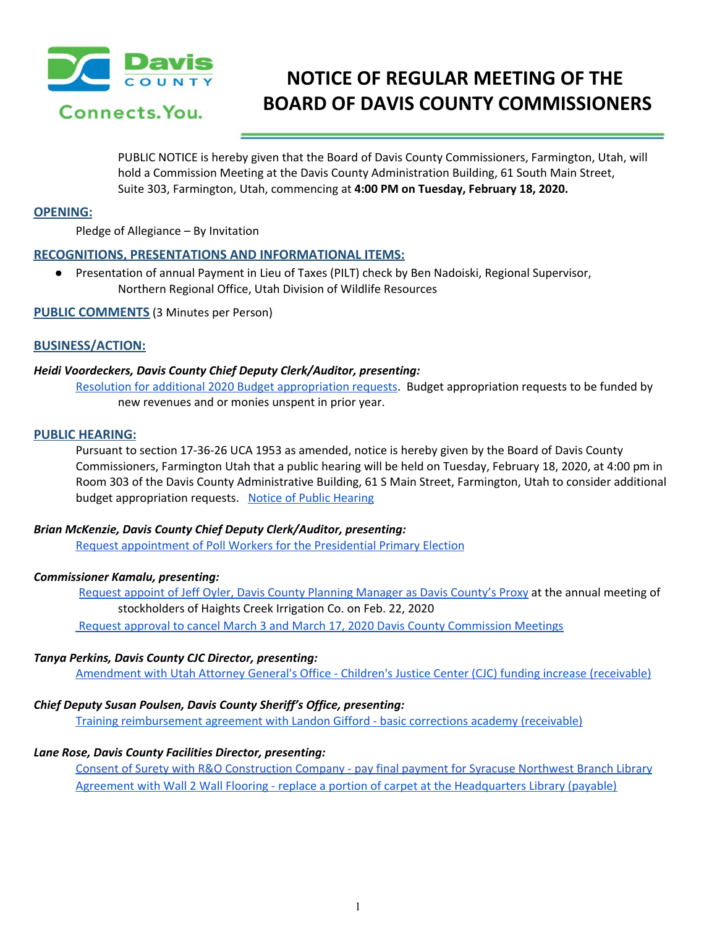

# **NOTICE OF REGULAR MEETING OF THE BOARD OF DAVIS COUNTY COMMISSIONERS**

PUBLIC NOTICE is hereby given that the Board of Davis County Commissioners, Farmington, Utah, will hold a Commission Meeting at the Davis County Administration Building, 61 South Main Street, Suite 303, Farmington, Utah, commencing at **4:00 PM on Tuesday, February 18, 2020.**

## **OPENING:**

Pledge of Allegiance – By Invitation

# **RECOGNITIONS, PRESENTATIONS AND INFORMATIONAL ITEMS:**

● Presentation of annual Payment in Lieu of Taxes (PILT) check by Ben Nadoiski, Regional Supervisor, Northern Regional Office, Utah Division of Wildlife Resources

**PUBLIC COMMENTS** (3 Minutes per Person)

## **BUSINESS/ACTION:**

## *Heidi Voordeckers, Davis County Chief Deputy Clerk/Auditor, presenting:*

Resolution for additional 2020 Budget [appropriation](https://drive.google.com/a/co.davis.ut.us/file/d/115UtkNAd0uAsFHsP8MB4w3Jm6P6C-C-h/view?usp=drivesdk) requests. Budget appropriation requests to be funded by new revenues and or monies unspent in prior year.

#### **PUBLIC HEARING:**

Pursuant to section 17-36-26 UCA 1953 as amended, notice is hereby given by the Board of Davis County Commissioners, Farmington Utah that a public hearing will be held on Tuesday, February 18, 2020, at 4:00 pm in Room 303 of the Davis County Administrative Building, 61 S Main Street, Farmington, Utah to consider additional budget appropriation requests. Notice of Public [Hearing](https://drive.google.com/a/co.davis.ut.us/file/d/1t9e1lKKCs_l7jCtlqvEtdSQL-G2UtXJs/view?usp=drivesdk)

## *Brian McKenzie, Davis County Chief Deputy Clerk/Auditor, presenting:*

Request [appointment](https://drive.google.com/a/co.davis.ut.us/file/d/1mrj0k_xxYxtHHQZKpOKNq3TDgwINU25m/view?usp=drivesdk) of Poll Workers for the Presidential Primary Election

## *Commissioner Kamalu, presenting:*

Request appoint of Jeff Oyler, Davis County Planning [Manager](https://drive.google.com/a/co.davis.ut.us/file/d/1wkr95txSseRbfwFTXRyTSB1FnJxFUWNh/view?usp=drivesdk) as Davis County's Proxy at the annual meeting of stockholders of Haights Creek Irrigation Co. on Feb. 22, 2020 Request approval to cancel March 3 and March 17, 2020 Davis County [Commission](https://drive.google.com/a/co.davis.ut.us/file/d/1zzdg6vhvlr3MKVgmOZdc-uuB4bvcQ1T4/view?usp=drivesdk) Meetings

## *Tanya Perkins, Davis County CJC Director, presenting:*

[Amendment](https://drive.google.com/a/co.davis.ut.us/file/d/1ExYfpKwfwmmYTbP4-jWmn1PVcDQNwmVH/view?usp=drivesdk) with Utah Attorney General's Office - Children's Justice Center (CJC) funding increase (receivable)

## *Chief Deputy Susan Poulsen, Davis County Sheriff's Office, presenting:*

Training [reimbursement](https://drive.google.com/a/co.davis.ut.us/file/d/1N0r8fqQctWI2OiZ2xtxwVdjNRofH1aIF/view?usp=drivesdk) agreement with Landon Gifford - basic corrections academy (receivable)

## *Lane Rose, Davis County Facilities Director, presenting:*

Consent of Surety with R&O [Construction](https://drive.google.com/a/co.davis.ut.us/file/d/1F4l2R2hyAOqz1HmhXHMrTvEtc5sbTFLR/view?usp=drivesdk) Company - pay final payment for Syracuse Northwest Branch Library Agreement with Wall 2 Wall Flooring - replace a portion of carpet at the [Headquarters](https://drive.google.com/a/co.davis.ut.us/file/d/1a4_DvEaW0irVfBXanRkpCsCAstCZUOGh/view?usp=drivesdk) Library (payable)